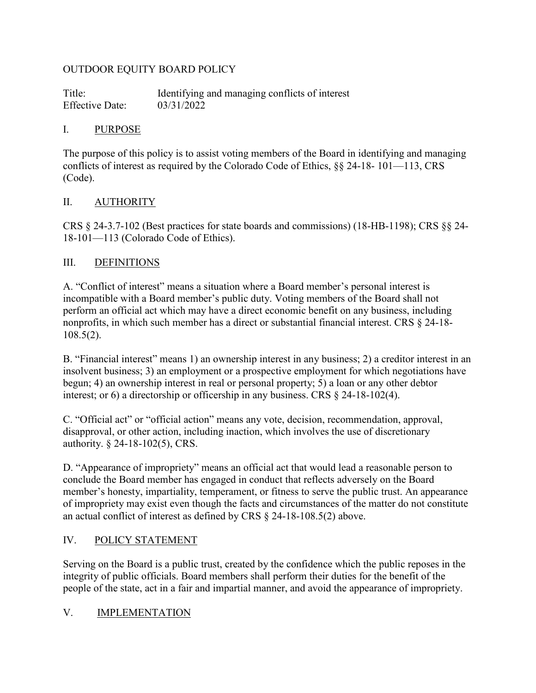#### OUTDOOR EQUITY BOARD POLICY

Title: Identifying and managing conflicts of interest Effective Date: 03/31/2022

#### I. PURPOSE

The purpose of this policy is to assist voting members of the Board in identifying and managing conflicts of interest as required by the Colorado Code of Ethics, §§ 24-18- 101—113, CRS (Code).

#### II. AUTHORITY

CRS § 24-3.7-102 (Best practices for state boards and commissions) (18-HB-1198); CRS §§ 24- 18-101—113 (Colorado Code of Ethics).

#### III. DEFINITIONS

A. "Conflict of interest" means a situation where a Board member's personal interest is incompatible with a Board member's public duty. Voting members of the Board shall not perform an official act which may have a direct economic benefit on any business, including nonprofits, in which such member has a direct or substantial financial interest. CRS § 24-18- 108.5(2).

B. "Financial interest" means 1) an ownership interest in any business; 2) a creditor interest in an insolvent business; 3) an employment or a prospective employment for which negotiations have begun; 4) an ownership interest in real or personal property; 5) a loan or any other debtor interest; or 6) a directorship or officership in any business. CRS § 24-18-102(4).

C. "Official act" or "official action" means any vote, decision, recommendation, approval, disapproval, or other action, including inaction, which involves the use of discretionary authority. § 24-18-102(5), CRS.

D. "Appearance of impropriety" means an official act that would lead a reasonable person to conclude the Board member has engaged in conduct that reflects adversely on the Board member's honesty, impartiality, temperament, or fitness to serve the public trust. An appearance of impropriety may exist even though the facts and circumstances of the matter do not constitute an actual conflict of interest as defined by CRS § 24-18-108.5(2) above.

## IV. POLICY STATEMENT

Serving on the Board is a public trust, created by the confidence which the public reposes in the integrity of public officials. Board members shall perform their duties for the benefit of the people of the state, act in a fair and impartial manner, and avoid the appearance of impropriety.

#### V. IMPLEMENTATION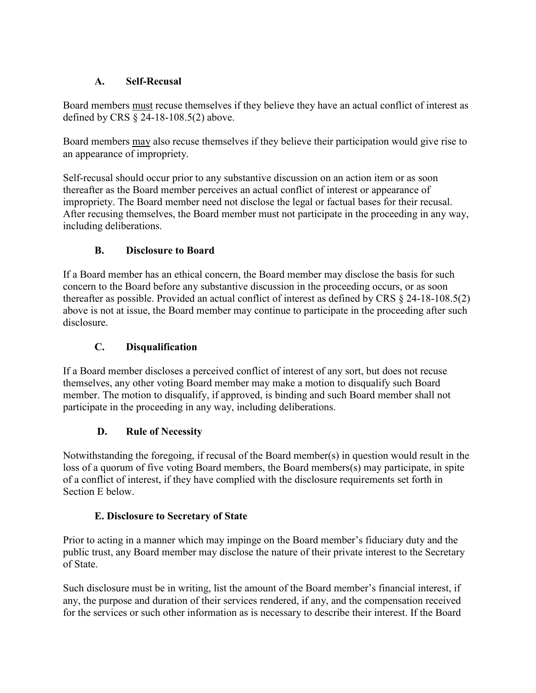## **A. Self-Recusal**

Board members must recuse themselves if they believe they have an actual conflict of interest as defined by CRS § 24-18-108.5(2) above.

Board members may also recuse themselves if they believe their participation would give rise to an appearance of impropriety.

Self-recusal should occur prior to any substantive discussion on an action item or as soon thereafter as the Board member perceives an actual conflict of interest or appearance of impropriety. The Board member need not disclose the legal or factual bases for their recusal. After recusing themselves, the Board member must not participate in the proceeding in any way, including deliberations.

## **B. Disclosure to Board**

If a Board member has an ethical concern, the Board member may disclose the basis for such concern to the Board before any substantive discussion in the proceeding occurs, or as soon thereafter as possible. Provided an actual conflict of interest as defined by CRS § 24-18-108.5(2) above is not at issue, the Board member may continue to participate in the proceeding after such disclosure.

# **C. Disqualification**

If a Board member discloses a perceived conflict of interest of any sort, but does not recuse themselves, any other voting Board member may make a motion to disqualify such Board member. The motion to disqualify, if approved, is binding and such Board member shall not participate in the proceeding in any way, including deliberations.

## **D. Rule of Necessity**

Notwithstanding the foregoing, if recusal of the Board member(s) in question would result in the loss of a quorum of five voting Board members, the Board members(s) may participate, in spite of a conflict of interest, if they have complied with the disclosure requirements set forth in Section E below.

## **E. Disclosure to Secretary of State**

Prior to acting in a manner which may impinge on the Board member's fiduciary duty and the public trust, any Board member may disclose the nature of their private interest to the Secretary of State.

Such disclosure must be in writing, list the amount of the Board member's financial interest, if any, the purpose and duration of their services rendered, if any, and the compensation received for the services or such other information as is necessary to describe their interest. If the Board